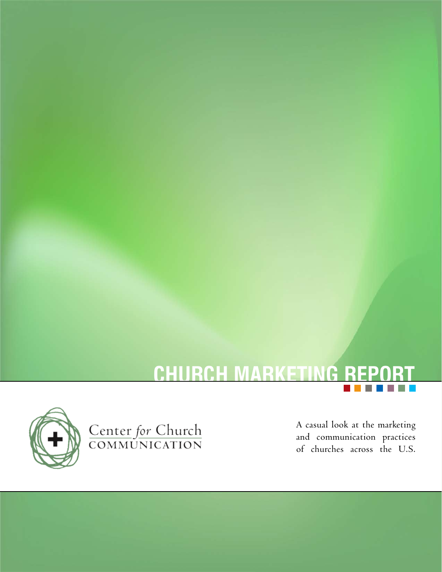



Center for Church<br>COMMUNICATION

A casual look at the marketing and communication practices of churches across the U.S.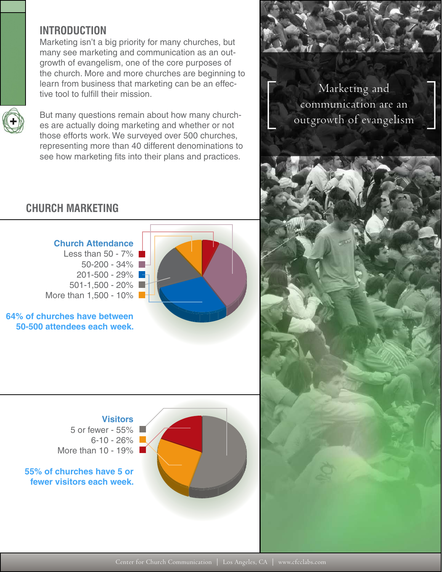# **INTRODUCTION**

Marketing isn't a big priority for many churches, but many see marketing and communication as an outgrowth of evangelism, one of the core purposes of the church. More and more churches are beginning to learn from business that marketing can be an effective tool to fulfill their mission.



But many questions remain about how many churches are actually doing marketing and whether or not those efforts work. We surveyed over 500 churches, representing more than 40 different denominations to see how marketing fits into their plans and practices.

Marketing and communication are an<br>outgrowth of evangelism

# **CHURCH MARKETING**



**64% of churches have between 50-500 attendees each week.**

> **Visitors** 5 or fewer - 55%  $6 - 10 - 26%$ More than 10 - 19%

**55% of churches have 5 or fewer visitors each week.**

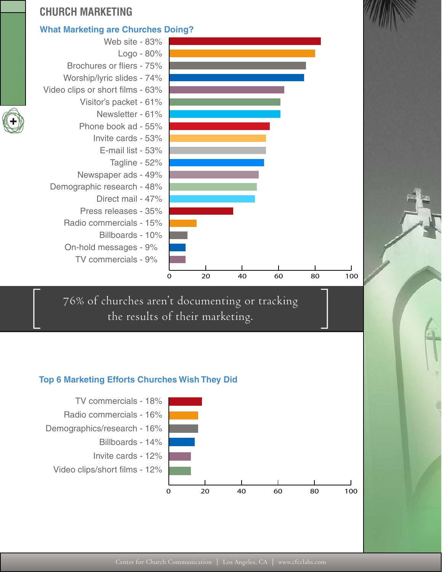

76% of churches aren't documenting or tracking<br>the results of their marketing.

#### **Top 6 Marketing Efforts Churches Wish They Did**

TV commercials - 9%



0 20 40 60 80 100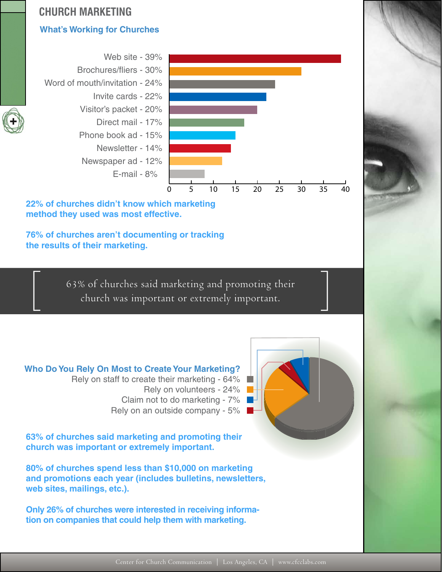# **CHURCH MARKETING**

# **What's Working for Churches**



**22% of churches didn't know which marketing method they used was most effective.**

**76% of churches aren't documenting or tracking the results of their marketing.**

63% of churches said marketing and promoting their [ church was important or extremely important.

## **Who Do You Rely On Most to Create Your Marketing?**

 Rely on staff to create their marketing - 64% Rely on volunteers - 24% Claim not to do marketing - 7% Rely on an outside company - 5%

**63% of churches said marketing and promoting their church was important or extremely important.** 

**80% of churches spend less than \$10,000 on marketing and promotions each year (includes bulletins, newsletters, web sites, mailings, etc.).**

**Only 26% of churches were interested in receiving information on companies that could help them with marketing.**



 $\rfloor$ 

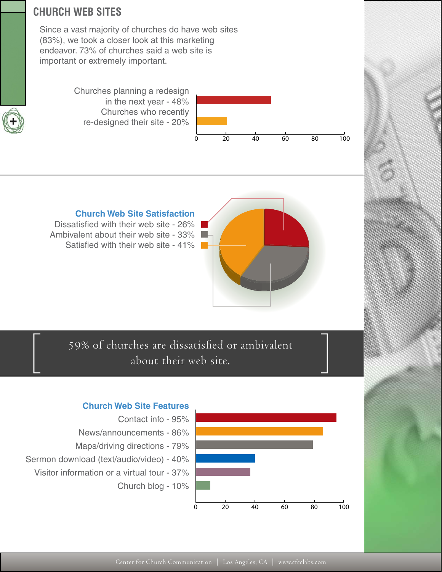# **CHURCH WEB SITES**

Since a vast majority of churches do have web sites (83%), we took a closer look at this marketing endeavor. 73% of churches said a web site is important or extremely important.

> Churches planning a redesign in the next year - 48% Churches who recently re-designed their site - 20%



#### **Church Web Site Satisfaction**

Dissatisfied with their web site - 26% Ambivalent about their web site - 33% Satisfied with their web site - 41%



59% of churches are dissatisfied or ambivalent<br>about their web site.

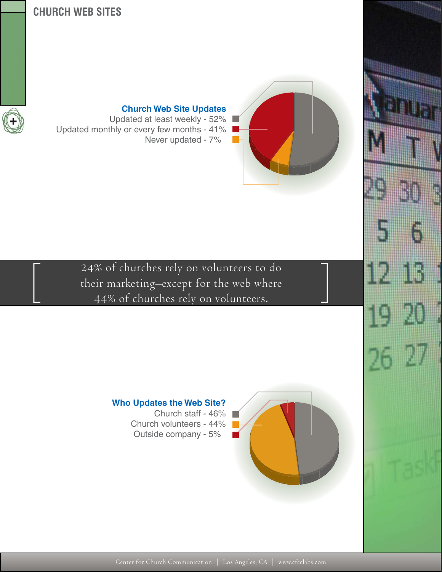# **CHURCH WEB SITES**



#### **Church Web Site Updates** Updated at least weekly - 52%

Updated monthly or every few months - 41% Never updated - 7%





**Who Updates the Web Site?** Church staff - 46% Church volunteers - 44% Outside company - 5%

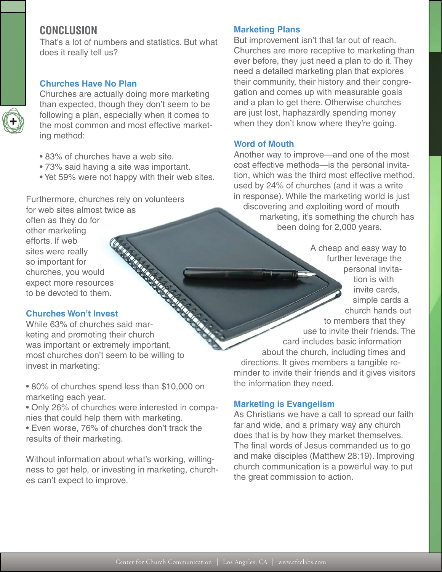# **CONCLUSION**

That's a lot of numbers and statistics. But what does it really tell us?

#### **Churches Have No Plan**

Churches are actually doing more marketing than expected, though they don't seem to be following a plan, especially when it comes to the most common and most effective marketing method:

- 83% of churches have a web site.
- 73% said having a site was important.
- Yet 59% were not happy with their web sites.

Furthermore, churches rely on volunteers for web sites almost twice as often as they do for

other marketing efforts. If web sites were really so important for churches, you would expect more resources to be devoted to them. Site<br>
so importation<br>
churches, you would<br>
expect more resources<br>
to be devoted to them.<br>
Churches Won't Invest<br>
While 63% of churches said mar-

#### **Churches Won't Invest**

keting and promoting their church was important or extremely important, most churches don't seem to be willing to invest in marketing:

• 80% of churches spend less than \$10,000 on marketing each year.

• Only 26% of churches were interested in companies that could help them with marketing.

• Even worse, 76% of churches don't track the results of their marketing.

Without information about what's working, willingness to get help, or investing in marketing, churches can't expect to improve.

#### **Marketing Plans**

But improvement isn't that far out of reach. Churches are more receptive to marketing than ever before, they just need a plan to do it. They need a detailed marketing plan that explores their community, their history and their congregation and comes up with measurable goals and a plan to get there. Otherwise churches are just lost, haphazardly spending money when they don't know where they're going.

#### **Word of Mouth**

Another way to improve—and one of the most cost effective methods—is the personal invitation, which was the third most effective method, used by 24% of churches (and it was a write in response). While the marketing world is just discovering and exploiting word of mouth marketing, it's something the church has been doing for 2,000 years.

A cheap and easy way to further leverage the personal invitation is with invite cards, simple cards a church hands out to members that they use to invite their friends. The card includes basic information about the church, including times and directions. It gives members a tangible reminder to invite their friends and it gives visitors the information they need.

#### **Marketing is Evangelism**

As Christians we have a call to spread our faith far and wide, and a primary way any church does that is by how they market themselves. The final words of Jesus commanded us to go and make disciples (Matthew 28:19). Improving church communication is a powerful way to put the great commission to action.